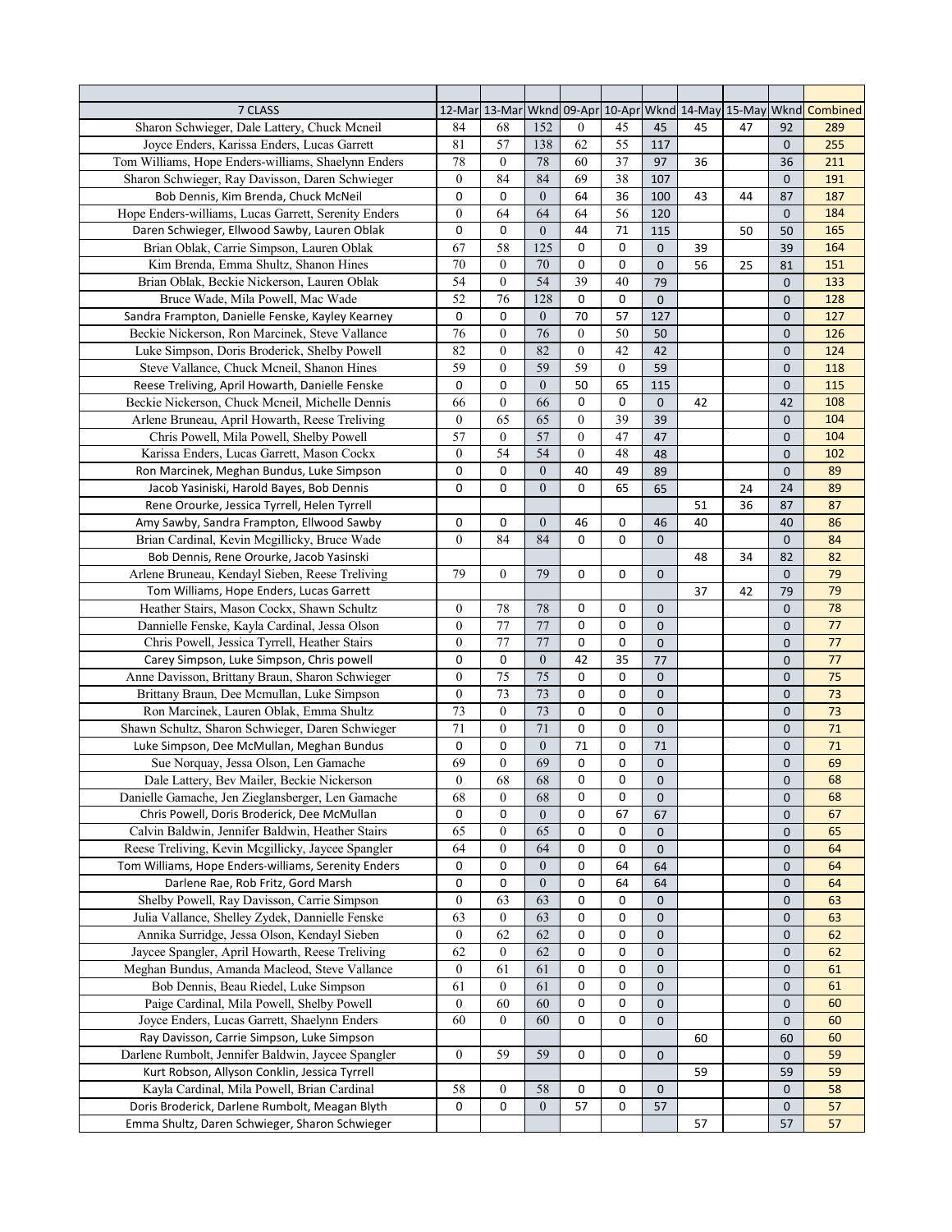| 7 CLASS                                                                                       |                  |                  |                  |                  |                  |              |    |    |                    | 12-Mar 13-Mar Wknd 09-Apr 10-Apr Wknd 14-May 15-May Wknd Combined |
|-----------------------------------------------------------------------------------------------|------------------|------------------|------------------|------------------|------------------|--------------|----|----|--------------------|-------------------------------------------------------------------|
| Sharon Schwieger, Dale Lattery, Chuck Mcneil                                                  | 84               | 68               | 152              | $\mathbf{0}$     | 45               | 45           | 45 | 47 | 92                 | 289                                                               |
| Joyce Enders, Karissa Enders, Lucas Garrett                                                   | 81               | 57               | 138              | 62               | 55               | 117          |    |    | $\mathbf{0}$       | 255                                                               |
| Tom Williams, Hope Enders-williams, Shaelynn Enders                                           | 78               | $\boldsymbol{0}$ | 78               | 60               | 37               | 97           | 36 |    | 36                 | 211                                                               |
| Sharon Schwieger, Ray Davisson, Daren Schwieger                                               | $\boldsymbol{0}$ | 84               | 84               | 69               | 38               | 107          |    |    | $\mathbf{0}$       | 191                                                               |
| Bob Dennis, Kim Brenda, Chuck McNeil                                                          | 0                | 0                | $\boldsymbol{0}$ | 64               | 36               | 100          | 43 | 44 | 87                 | 187                                                               |
| Hope Enders-williams, Lucas Garrett, Serenity Enders                                          | $\boldsymbol{0}$ | 64               | 64               | 64               | 56               | 120          |    |    | $\mathbf{0}$       | 184                                                               |
| Daren Schwieger, Ellwood Sawby, Lauren Oblak                                                  | 0                | 0                | $\boldsymbol{0}$ | 44               | 71               | 115          |    | 50 | 50                 | 165                                                               |
| Brian Oblak, Carrie Simpson, Lauren Oblak                                                     | 67               | 58               | 125              | 0                | 0                | $\mathbf 0$  | 39 |    | 39                 | 164                                                               |
| Kim Brenda, Emma Shultz, Shanon Hines                                                         | 70               | $\boldsymbol{0}$ | 70               | 0                | 0                | $\mathbf{0}$ | 56 | 25 | 81                 | 151                                                               |
| Brian Oblak, Beckie Nickerson, Lauren Oblak                                                   | 54               | $\boldsymbol{0}$ | 54               | 39               | 40               | 79           |    |    | $\mathbf{0}$       | 133                                                               |
| Bruce Wade, Mila Powell, Mac Wade                                                             | 52               | 76               | 128              | 0                | 0                | $\mathbf{0}$ |    |    | $\mathbf{0}$       | 128                                                               |
| Sandra Frampton, Danielle Fenske, Kayley Kearney                                              | 0                | 0                | $\boldsymbol{0}$ | 70               | 57               | 127          |    |    | $\mathbf 0$        | 127                                                               |
| Beckie Nickerson, Ron Marcinek, Steve Vallance                                                | 76               | $\boldsymbol{0}$ | 76               | $\boldsymbol{0}$ | 50               | 50           |    |    | $\mathbf{0}$       | 126                                                               |
| Luke Simpson, Doris Broderick, Shelby Powell                                                  | 82               | $\boldsymbol{0}$ | 82               | $\boldsymbol{0}$ | $\overline{42}$  | 42           |    |    | $\mathbf{0}$       | 124                                                               |
| Steve Vallance, Chuck Mcneil, Shanon Hines                                                    | 59               | $\boldsymbol{0}$ | 59               | 59               | $\boldsymbol{0}$ | 59           |    |    | $\mathbf{0}$       | 118                                                               |
| Reese Treliving, April Howarth, Danielle Fenske                                               | 0                | 0                | $\boldsymbol{0}$ | 50               | 65               | 115          |    |    | $\mathbf{0}$       | 115                                                               |
| Beckie Nickerson, Chuck Mcneil, Michelle Dennis                                               | 66               | $\boldsymbol{0}$ | 66               | $\mathbf 0$      | 0                | $\mathbf{0}$ | 42 |    | 42                 | 108                                                               |
| Arlene Bruneau, April Howarth, Reese Treliving                                                | $\mathbf{0}$     | 65               | 65               | $\mathbf{0}$     | 39               | 39           |    |    | $\mathbf{0}$       | 104                                                               |
| Chris Powell, Mila Powell, Shelby Powell                                                      | 57               | 0                | 57               | $\mathbf{0}$     | 47               | 47           |    |    | $\mathbf{0}$       | 104                                                               |
| Karissa Enders, Lucas Garrett, Mason Cockx                                                    | $\boldsymbol{0}$ | 54               | 54               | $\mathbf{0}$     | 48               | 48           |    |    | $\mathbf{0}$       | 102                                                               |
| Ron Marcinek, Meghan Bundus, Luke Simpson                                                     | 0                | 0                | $\boldsymbol{0}$ | 40               | 49               | 89           |    |    | $\mathbf{0}$       | 89                                                                |
| Jacob Yasiniski, Harold Bayes, Bob Dennis                                                     | 0                | 0                | $\boldsymbol{0}$ | 0                | 65               | 65           |    | 24 | 24                 | 89                                                                |
| Rene Orourke, Jessica Tyrrell, Helen Tyrrell                                                  |                  |                  |                  |                  |                  |              | 51 | 36 | 87                 | 87                                                                |
| Amy Sawby, Sandra Frampton, Ellwood Sawby                                                     | 0                | 0                | $\boldsymbol{0}$ | 46               | 0                | 46           | 40 |    | 40                 | 86                                                                |
| Brian Cardinal, Kevin Mcgillicky, Bruce Wade                                                  | $\mathbf{0}$     | 84               | 84               | 0                | 0                | $\Omega$     |    |    | $\mathbf{0}$       | 84                                                                |
| Bob Dennis, Rene Orourke, Jacob Yasinski                                                      |                  |                  |                  |                  |                  |              | 48 | 34 | 82                 | 82                                                                |
| Arlene Bruneau, Kendayl Sieben, Reese Treliving                                               | 79               | $\boldsymbol{0}$ | 79               | 0                | 0                | $\mathbf{0}$ |    |    | $\mathbf{0}$       | 79                                                                |
| Tom Williams, Hope Enders, Lucas Garrett                                                      |                  |                  |                  |                  |                  |              | 37 | 42 | 79                 | 79                                                                |
| Heather Stairs, Mason Cockx, Shawn Schultz                                                    | $\boldsymbol{0}$ | 78               | 78               | 0                | 0                | $\mathbf{0}$ |    |    | $\mathbf{0}$       | 78                                                                |
| Dannielle Fenske, Kayla Cardinal, Jessa Olson                                                 | $\boldsymbol{0}$ | 77               | 77               | 0                | 0                | $\mathbf{0}$ |    |    | $\mathbf{0}$       | 77                                                                |
| Chris Powell, Jessica Tyrrell, Heather Stairs                                                 | $\mathbf{0}$     | 77               | 77               | 0                | 0                | $\mathbf 0$  |    |    | $\mathbf{0}$       | 77                                                                |
| Carey Simpson, Luke Simpson, Chris powell                                                     | 0                | 0                | $\boldsymbol{0}$ | 42               | 35               | 77           |    |    | $\mathbf{0}$       | 77                                                                |
| Anne Davisson, Brittany Braun, Sharon Schwieger                                               | $\boldsymbol{0}$ | 75               | 75               | 0                | 0                | $\mathbf 0$  |    |    | $\mathbf 0$        | 75                                                                |
| Brittany Braun, Dee Mcmullan, Luke Simpson                                                    | $\boldsymbol{0}$ | 73               | 73               | 0                | 0                | $\mathbf 0$  |    |    | $\mathbf{0}$       | 73                                                                |
| Ron Marcinek, Lauren Oblak, Emma Shultz                                                       | 73               | $\boldsymbol{0}$ | 73               | 0                | 0                | $\mathbf 0$  |    |    | $\mathbf 0$        | 73                                                                |
| Shawn Schultz, Sharon Schwieger, Daren Schwieger                                              | 71               | $\boldsymbol{0}$ | 71               | 0                | 0                | $\mathbf 0$  |    |    | $\mathbf{0}$       | $71\,$                                                            |
| Luke Simpson, Dee McMullan, Meghan Bundus                                                     | 0                | 0                | $\boldsymbol{0}$ | 71               | 0                | 71           |    |    | 0                  | 71                                                                |
| Sue Norquay, Jessa Olson, Len Gamache                                                         | 69               | $\boldsymbol{0}$ | 69               | 0                | 0                | $\mathsf 0$  |    |    | 0                  | 69                                                                |
| Dale Lattery, Bev Mailer, Beckie Nickerson                                                    | $\boldsymbol{0}$ | 68               | 68               | 0                | 0                | $\pmb{0}$    |    |    | $\pmb{0}$          | 68                                                                |
| Danielle Gamache, Jen Zieglansberger, Len Gamache                                             | 68               | $\boldsymbol{0}$ | 68               | 0                | 0                | $\mathbf 0$  |    |    | 0                  | 68                                                                |
| Chris Powell, Doris Broderick, Dee McMullan                                                   | 0                | 0                | $\mathbf{0}$     | 0                | 67               | 67           |    |    | 0                  | 67                                                                |
| Calvin Baldwin, Jennifer Baldwin, Heather Stairs                                              | 65               | $\boldsymbol{0}$ | 65               | 0                | 0                | $\mathbf 0$  |    |    | $\mathbf 0$        | 65                                                                |
| Reese Treliving, Kevin Mcgillicky, Jaycee Spangler                                            | 64               | $\boldsymbol{0}$ | 64               | 0                | 0                | $\mathbf{0}$ |    |    | $\mathbf{0}$       | 64                                                                |
| Tom Williams, Hope Enders-williams, Serenity Enders                                           | 0                | 0                | $\boldsymbol{0}$ | 0                | 64               | 64           |    |    | 0                  | 64                                                                |
| Darlene Rae, Rob Fritz, Gord Marsh                                                            | 0                | 0                | $\boldsymbol{0}$ | 0                | 64               | 64           |    |    | $\mathbf 0$        | 64                                                                |
| Shelby Powell, Ray Davisson, Carrie Simpson                                                   | $\boldsymbol{0}$ | 63               | 63               | 0                | 0                | $\mathbf 0$  |    |    | $\mathbf 0$        | 63                                                                |
| Julia Vallance, Shelley Zydek, Dannielle Fenske                                               | 63               | $\boldsymbol{0}$ | 63               | 0                | 0                | 0            |    |    | 0                  | 63                                                                |
| Annika Surridge, Jessa Olson, Kendayl Sieben                                                  | $\boldsymbol{0}$ | 62               | 62               | 0                | 0                | $\mathbf 0$  |    |    | $\mathbf 0$        | 62                                                                |
| Jaycee Spangler, April Howarth, Reese Treliving                                               | 62               | $\boldsymbol{0}$ | 62               | 0                | 0                | $\mathbf{0}$ |    |    | $\mathbf 0$        | 62                                                                |
| Meghan Bundus, Amanda Macleod, Steve Vallance                                                 | $\boldsymbol{0}$ | 61               | 61               | 0                | 0                | $\mathbf 0$  |    |    | $\mathbf 0$        | 61                                                                |
| Bob Dennis, Beau Riedel, Luke Simpson                                                         | 61               | $\boldsymbol{0}$ | 61               | 0                | 0                | $\mathbf 0$  |    |    |                    | 61                                                                |
| Paige Cardinal, Mila Powell, Shelby Powell                                                    | $\boldsymbol{0}$ | 60               | 60               | 0                | 0                | $\mathbf 0$  |    |    | 0                  | 60                                                                |
| Joyce Enders, Lucas Garrett, Shaelynn Enders                                                  | 60               | $\overline{0}$   | 60               | 0                | 0                | 0            |    |    | $\mathbf 0$<br>0   | 60                                                                |
| Ray Davisson, Carrie Simpson, Luke Simpson                                                    |                  |                  |                  |                  |                  |              |    |    |                    | 60                                                                |
| Darlene Rumbolt, Jennifer Baldwin, Jaycee Spangler                                            | $\boldsymbol{0}$ | 59               | 59               |                  | 0                | $\mathbf{0}$ | 60 |    | 60                 |                                                                   |
|                                                                                               |                  |                  |                  | 0                |                  |              |    |    | $\mathbf 0$        | 59<br>59                                                          |
| Kurt Robson, Allyson Conklin, Jessica Tyrrell                                                 |                  |                  | 58               |                  |                  |              | 59 |    | 59<br>$\mathbf{0}$ |                                                                   |
| Kayla Cardinal, Mila Powell, Brian Cardinal<br>Doris Broderick, Darlene Rumbolt, Meagan Blyth | 58               | $\boldsymbol{0}$ | $\boldsymbol{0}$ | 0<br>57          | 0                | $\mathbf 0$  |    |    |                    | 58                                                                |
|                                                                                               | 0                | 0                |                  |                  | 0                | 57           |    |    | $\mathbf 0$        | 57                                                                |
| Emma Shultz, Daren Schwieger, Sharon Schwieger                                                |                  |                  |                  |                  |                  |              | 57 |    | 57                 | 57                                                                |